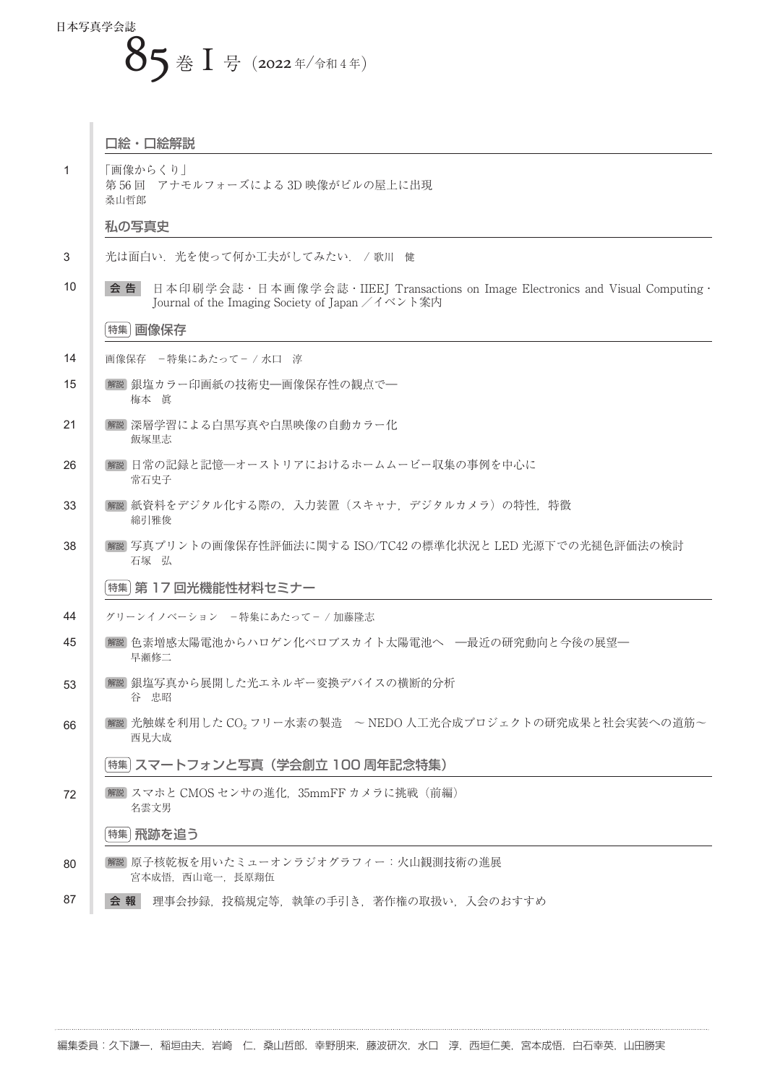## 日本写真学会誌 85 巻 Ⅰ号 (2022年/令和4年)

|              | 口絵・口絵解説                                                                                                                                      |
|--------------|----------------------------------------------------------------------------------------------------------------------------------------------|
| $\mathbf{1}$ | 「画像からくり」<br>第56回 アナモルフォーズによる3D映像がビルの屋上に出現<br>桑山哲郎                                                                                            |
|              | 私の写真史                                                                                                                                        |
| 3            | 光は面白い. 光を使って何か工夫がしてみたい. /歌川 健                                                                                                                |
| 10           | 日本印刷学会誌 · 日本画像学会誌 · IIEEJ Transactions on Image Electronics and Visual Computing ·<br>会 告<br>Journal of the Imaging Society of Japan /イベント案内 |
|              | 画像保存<br>特集                                                                                                                                   |
| 14           | 画像保存 - 特集にあたって- / 水口 淳                                                                                                                       |
| 15           | 解説 銀塩カラー印画紙の技術史–画像保存性の観点で–<br>梅本 眞                                                                                                           |
| 21           | 解説 深層学習による白黒写真や白黒映像の自動カラー化<br>飯塚里志                                                                                                           |
| 26           | 解説 日常の記録と記憶―オーストリアにおけるホームムービー収集の事例を中心に<br>常石史子                                                                                               |
| 33           | 解説 紙資料をデジタル化する際の,入力装置(スキャナ,デジタルカメラ)の特性,特徴<br>綿引雅俊                                                                                            |
| 38           | 解説  写真プリントの画像保存性評価法に関する ISO/TC42 の標準化状況と LED 光源下での光褪色評価法の検討<br>石塚 弘                                                                          |
|              | 特集  第 17 回光機能性材料セミナー                                                                                                                         |
| 44           | グリーンイノベーション -特集にあたって-/加藤隆志                                                                                                                   |
| 45           | 解説 色素増感太陽電池からハロゲン化ペロブスカイト太陽電池へ   一最近の研究動向と今後の展望―<br>早瀬修二                                                                                     |
| 53           | 解説  銀塩写真から展開した光エネルギー変換デバイスの横断的分析<br>谷 忠昭                                                                                                     |
| 66           | 解説  光触媒を利用した CO <sub>2</sub> フリー水素の製造 ~ NEDO 人工光合成プロジェクトの研究成果と社会実装への道筋~<br>西見大成                                                              |
|              | 特集  スマートフォンと写真(学会創立 100 周年記念特集)                                                                                                              |
| 72           | 解説 スマホと CMOS センサの進化、35mmFF カメラに挑戦 (前編)<br>名雲文男                                                                                               |
|              | 特集 飛跡を追う                                                                                                                                     |
| 80           | 解説  原子核乾板を用いたミューオンラジオグラフィー:火山観測技術の進展 <br>宮本成悟, 西山竜一, 長原翔伍                                                                                    |
| 87           | 理事会抄録、投稿規定等、執筆の手引き、著作権の取扱い、入会のおすすめ<br>会 報                                                                                                    |